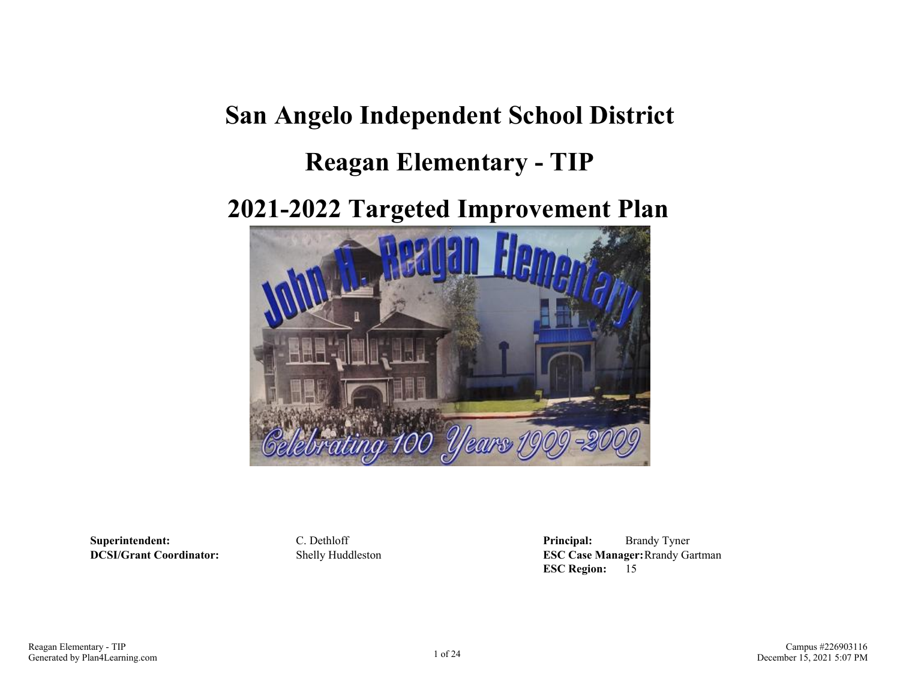# **San Angelo Independent School District**

## **Reagan Elementary - TIP**

## **2021-2022 Targeted Improvement Plan**



**Superintendent:** C. Dethloff **Principal:** Brandy Tyner **DCSI/Grant Coordinator:** Shelly Huddleston **ESC Case Manager:**Rrandy Gartman **ESC Region:** 15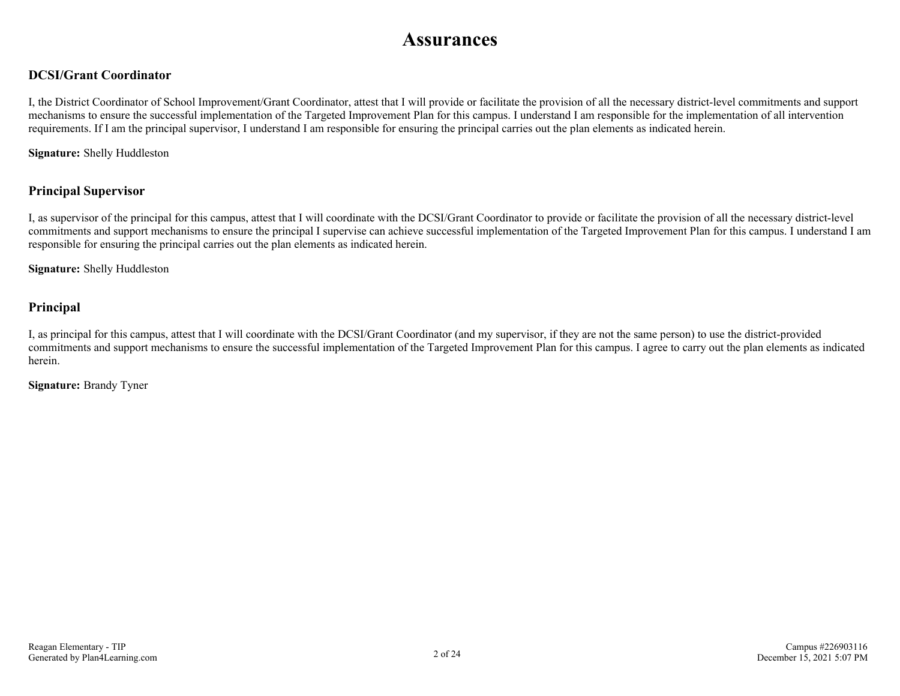### **Assurances**

### **DCSI/Grant Coordinator**

I, the District Coordinator of School Improvement/Grant Coordinator, attest that I will provide or facilitate the provision of all the necessary district-level commitments and support mechanisms to ensure the successful implementation of the Targeted Improvement Plan for this campus. I understand I am responsible for the implementation of all intervention requirements. If I am the principal supervisor, I understand I am responsible for ensuring the principal carries out the plan elements as indicated herein.

**Signature:** Shelly Huddleston

### **Principal Supervisor**

I, as supervisor of the principal for this campus, attest that I will coordinate with the DCSI/Grant Coordinator to provide or facilitate the provision of all the necessary district-level commitments and support mechanisms to ensure the principal I supervise can achieve successful implementation of the Targeted Improvement Plan for this campus. I understand I am responsible for ensuring the principal carries out the plan elements as indicated herein.

**Signature:** Shelly Huddleston

### **Principal**

I, as principal for this campus, attest that I will coordinate with the DCSI/Grant Coordinator (and my supervisor, if they are not the same person) to use the district-provided commitments and support mechanisms to ensure the successful implementation of the Targeted Improvement Plan for this campus. I agree to carry out the plan elements as indicated herein.

**Signature:** Brandy Tyner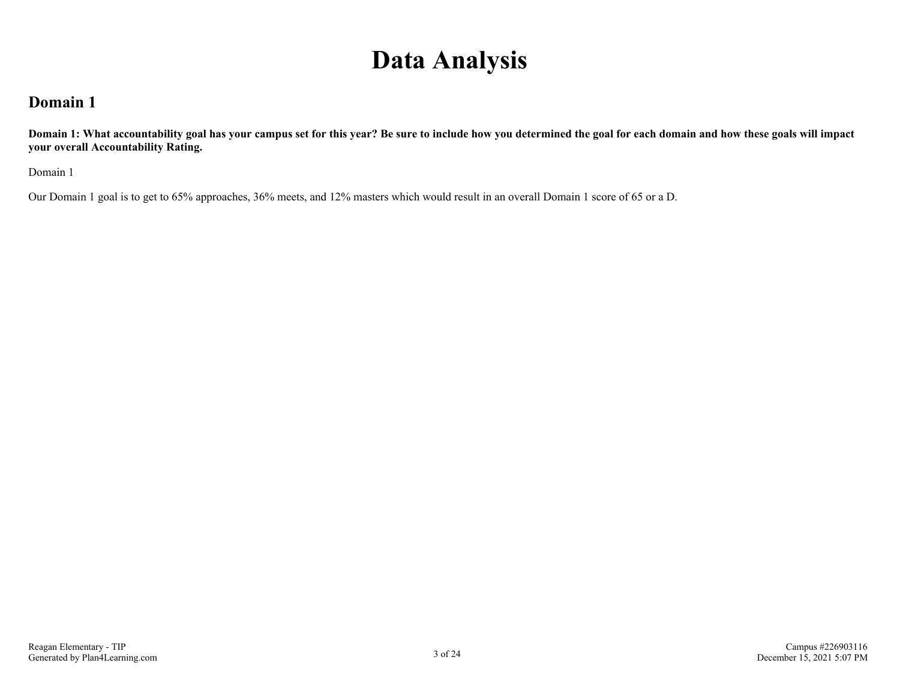## **Data Analysis**

### **Domain 1**

**Domain 1: What accountability goal has your campus set for this year? Be sure to include how you determined the goal for each domain and how these goals will impact your overall Accountability Rating.**

Domain 1

Our Domain 1 goal is to get to 65% approaches, 36% meets, and 12% masters which would result in an overall Domain 1 score of 65 or a D.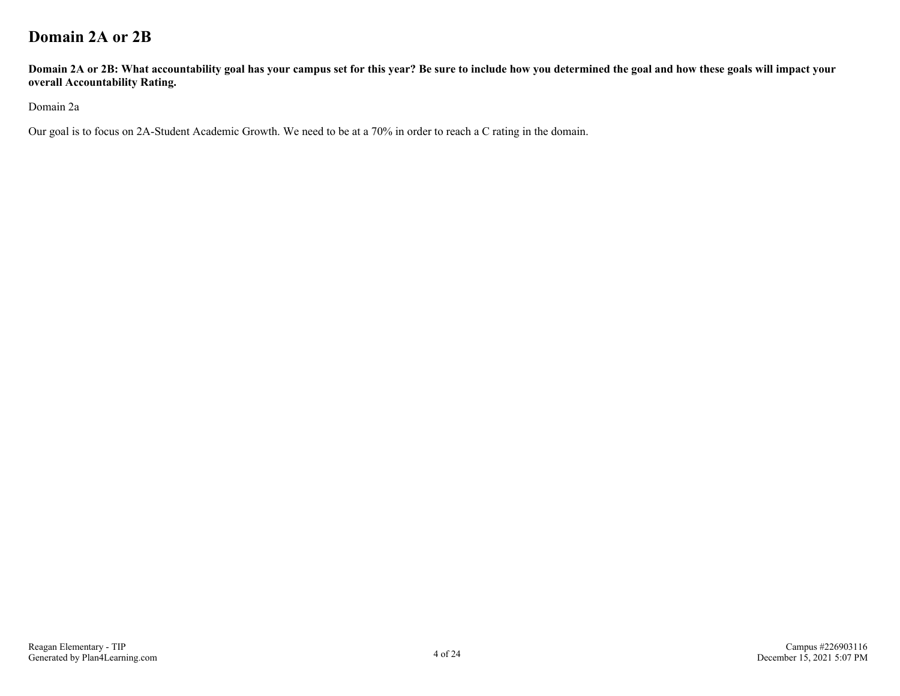### **Domain 2A or 2B**

**Domain 2A or 2B: What accountability goal has your campus set for this year? Be sure to include how you determined the goal and how these goals will impact your overall Accountability Rating.**

Domain 2a

Our goal is to focus on 2A-Student Academic Growth. We need to be at a 70% in order to reach a C rating in the domain.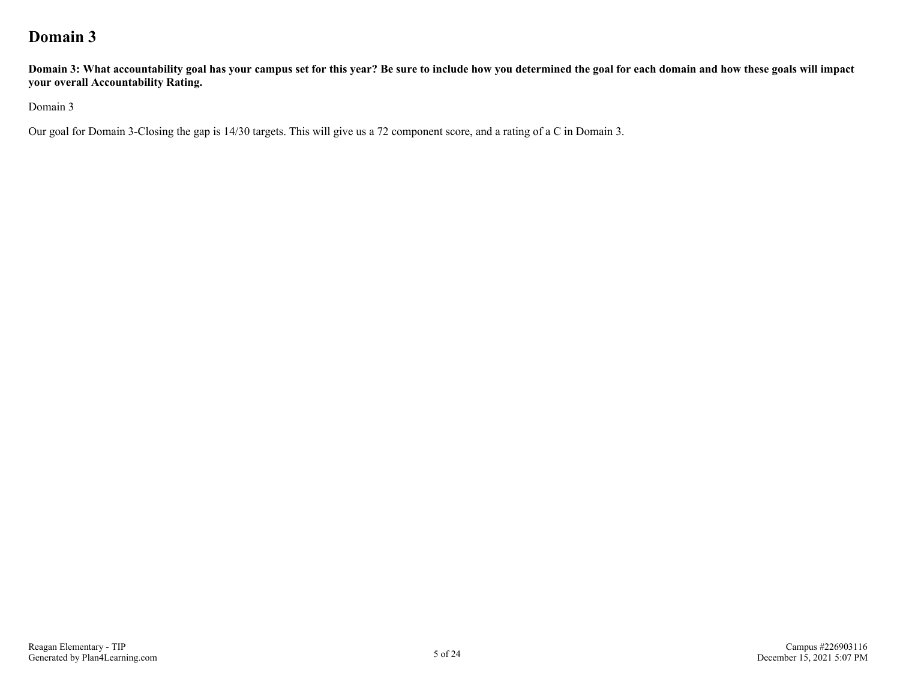### **Domain 3**

**Domain 3: What accountability goal has your campus set for this year? Be sure to include how you determined the goal for each domain and how these goals will impact your overall Accountability Rating.**

Domain 3

Our goal for Domain 3-Closing the gap is 14/30 targets. This will give us a 72 component score, and a rating of a C in Domain 3.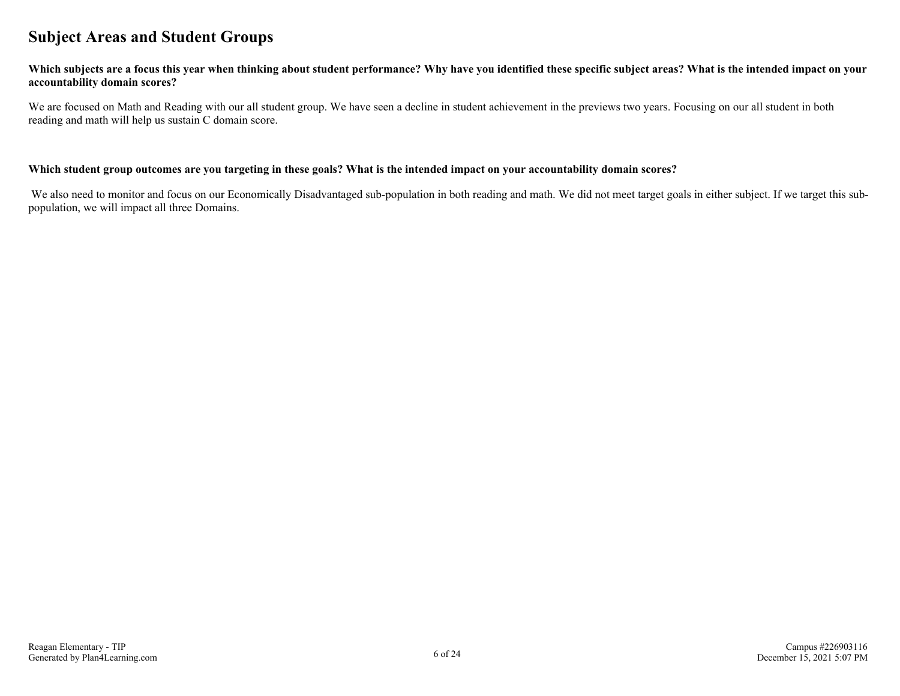### **Subject Areas and Student Groups**

#### **Which subjects are a focus this year when thinking about student performance? Why have you identified these specific subject areas? What is the intended impact on your accountability domain scores?**

We are focused on Math and Reading with our all student group. We have seen a decline in student achievement in the previews two years. Focusing on our all student in both reading and math will help us sustain C domain score.

#### **Which student group outcomes are you targeting in these goals? What is the intended impact on your accountability domain scores?**

We also need to monitor and focus on our Economically Disadvantaged sub-population in both reading and math. We did not meet target goals in either subject. If we target this subpopulation, we will impact all three Domains.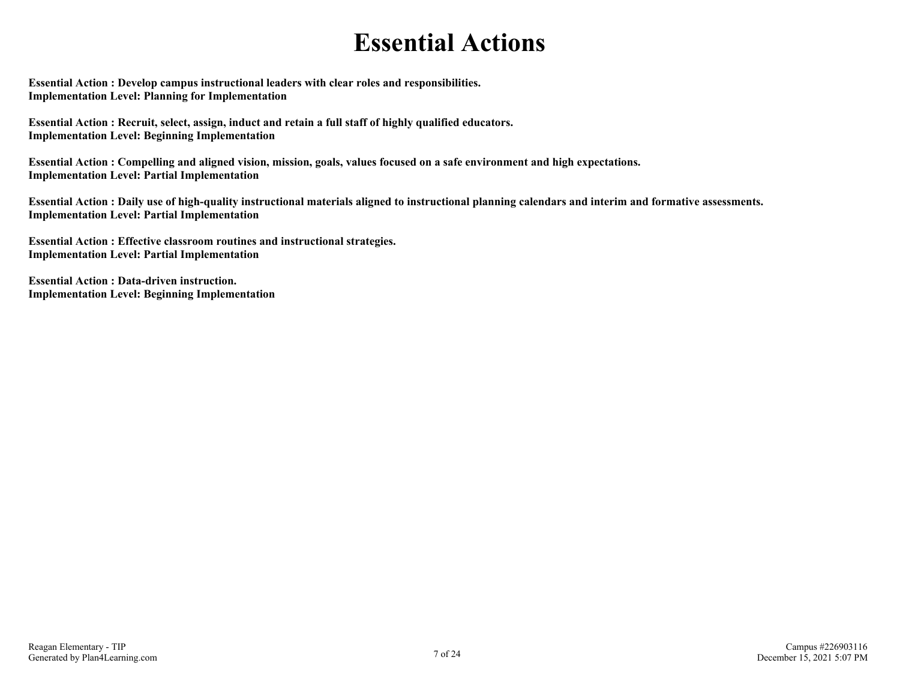## **Essential Actions**

**Essential Action : Develop campus instructional leaders with clear roles and responsibilities. Implementation Level: Planning for Implementation** 

**Essential Action : Recruit, select, assign, induct and retain a full staff of highly qualified educators. Implementation Level: Beginning Implementation** 

**Essential Action : Compelling and aligned vision, mission, goals, values focused on a safe environment and high expectations. Implementation Level: Partial Implementation** 

**Essential Action : Daily use of high-quality instructional materials aligned to instructional planning calendars and interim and formative assessments. Implementation Level: Partial Implementation** 

**Essential Action : Effective classroom routines and instructional strategies. Implementation Level: Partial Implementation** 

**Essential Action : Data-driven instruction. Implementation Level: Beginning Implementation**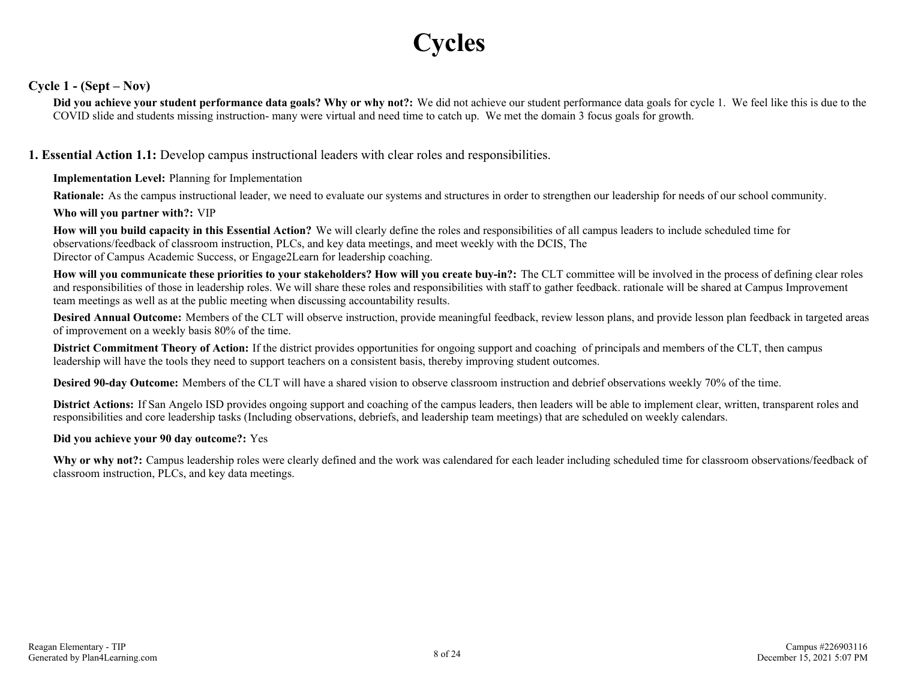## **Cycles**

### **Cycle 1 - (Sept – Nov)**

**Did you achieve your student performance data goals? Why or why not?:** We did not achieve our student performance data goals for cycle 1. We feel like this is due to the COVID slide and students missing instruction- many were virtual and need time to catch up. We met the domain 3 focus goals for growth.

**1. Essential Action 1.1:** Develop campus instructional leaders with clear roles and responsibilities.

#### **Implementation Level:** Planning for Implementation

**Rationale:** As the campus instructional leader, we need to evaluate our systems and structures in order to strengthen our leadership for needs of our school community.

#### **Who will you partner with?:** VIP

**How will you build capacity in this Essential Action?** We will clearly define the roles and responsibilities of all campus leaders to include scheduled time for observations/feedback of classroom instruction, PLCs, and key data meetings, and meet weekly with the DCIS, The Director of Campus Academic Success, or Engage2Learn for leadership coaching.

**How will you communicate these priorities to your stakeholders? How will you create buy-in?:** The CLT committee will be involved in the process of defining clear roles and responsibilities of those in leadership roles. We will share these roles and responsibilities with staff to gather feedback. rationale will be shared at Campus Improvement team meetings as well as at the public meeting when discussing accountability results.

**Desired Annual Outcome:** Members of the CLT will observe instruction, provide meaningful feedback, review lesson plans, and provide lesson plan feedback in targeted areas of improvement on a weekly basis 80% of the time.

**District Commitment Theory of Action:** If the district provides opportunities for ongoing support and coaching of principals and members of the CLT, then campus leadership will have the tools they need to support teachers on a consistent basis, thereby improving student outcomes.

**Desired 90-day Outcome:** Members of the CLT will have a shared vision to observe classroom instruction and debrief observations weekly 70% of the time.

**District Actions:** If San Angelo ISD provides ongoing support and coaching of the campus leaders, then leaders will be able to implement clear, written, transparent roles and responsibilities and core leadership tasks (Including observations, debriefs, and leadership team meetings) that are scheduled on weekly calendars.

#### **Did you achieve your 90 day outcome?:** Yes

Why or why not?: Campus leadership roles were clearly defined and the work was calendared for each leader including scheduled time for classroom observations/feedback of classroom instruction, PLCs, and key data meetings.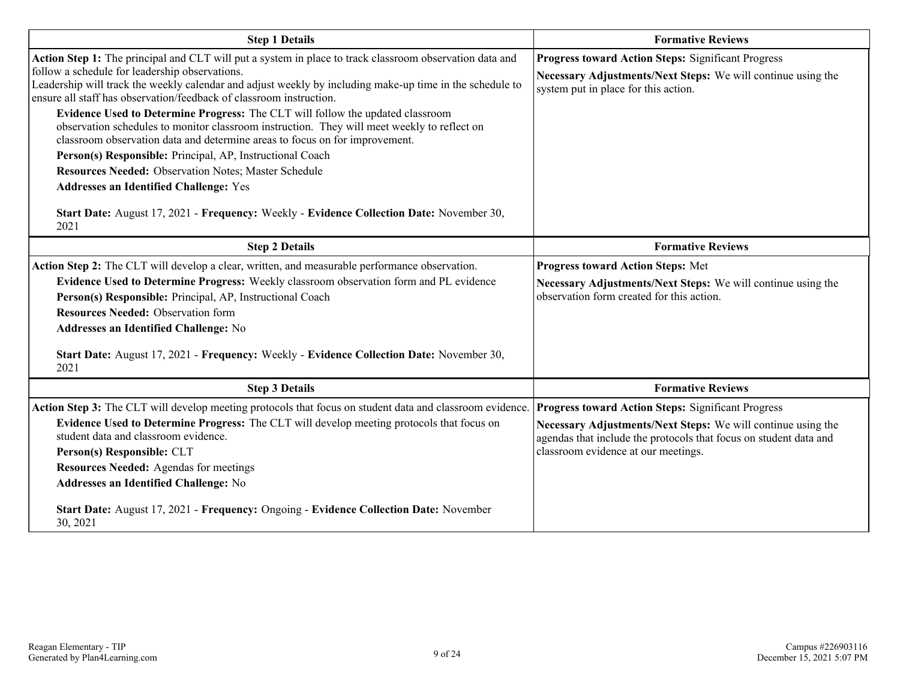| <b>Step 1 Details</b>                                                                                                                                                                                                                                                                                                                                                                                                                                                                                                                                                                                                                                                                                                                                                                                                                                                                         | <b>Formative Reviews</b>                                                                                                                                                 |  |  |  |  |
|-----------------------------------------------------------------------------------------------------------------------------------------------------------------------------------------------------------------------------------------------------------------------------------------------------------------------------------------------------------------------------------------------------------------------------------------------------------------------------------------------------------------------------------------------------------------------------------------------------------------------------------------------------------------------------------------------------------------------------------------------------------------------------------------------------------------------------------------------------------------------------------------------|--------------------------------------------------------------------------------------------------------------------------------------------------------------------------|--|--|--|--|
| Action Step 1: The principal and CLT will put a system in place to track classroom observation data and<br>follow a schedule for leadership observations.<br>Leadership will track the weekly calendar and adjust weekly by including make-up time in the schedule to<br>ensure all staff has observation/feedback of classroom instruction.<br>Evidence Used to Determine Progress: The CLT will follow the updated classroom<br>observation schedules to monitor classroom instruction. They will meet weekly to reflect on<br>classroom observation data and determine areas to focus on for improvement.<br>Person(s) Responsible: Principal, AP, Instructional Coach<br><b>Resources Needed: Observation Notes; Master Schedule</b><br><b>Addresses an Identified Challenge: Yes</b><br>Start Date: August 17, 2021 - Frequency: Weekly - Evidence Collection Date: November 30,<br>2021 | <b>Progress toward Action Steps: Significant Progress</b><br>Necessary Adjustments/Next Steps: We will continue using the<br>system put in place for this action.        |  |  |  |  |
| <b>Step 2 Details</b>                                                                                                                                                                                                                                                                                                                                                                                                                                                                                                                                                                                                                                                                                                                                                                                                                                                                         | <b>Formative Reviews</b>                                                                                                                                                 |  |  |  |  |
| Action Step 2: The CLT will develop a clear, written, and measurable performance observation.<br>Evidence Used to Determine Progress: Weekly classroom observation form and PL evidence<br>Person(s) Responsible: Principal, AP, Instructional Coach<br><b>Resources Needed: Observation form</b><br>Addresses an Identified Challenge: No<br>Start Date: August 17, 2021 - Frequency: Weekly - Evidence Collection Date: November 30,<br>2021                                                                                                                                                                                                                                                                                                                                                                                                                                                | <b>Progress toward Action Steps: Met</b><br>Necessary Adjustments/Next Steps: We will continue using the<br>observation form created for this action.                    |  |  |  |  |
| <b>Step 3 Details</b>                                                                                                                                                                                                                                                                                                                                                                                                                                                                                                                                                                                                                                                                                                                                                                                                                                                                         | <b>Formative Reviews</b>                                                                                                                                                 |  |  |  |  |
| Action Step 3: The CLT will develop meeting protocols that focus on student data and classroom evidence. Progress toward Action Steps: Significant Progress<br>Evidence Used to Determine Progress: The CLT will develop meeting protocols that focus on<br>student data and classroom evidence.<br>Person(s) Responsible: CLT<br><b>Resources Needed: Agendas for meetings</b><br>Addresses an Identified Challenge: No<br>Start Date: August 17, 2021 - Frequency: Ongoing - Evidence Collection Date: November<br>30, 2021                                                                                                                                                                                                                                                                                                                                                                 | Necessary Adjustments/Next Steps: We will continue using the<br>agendas that include the protocols that focus on student data and<br>classroom evidence at our meetings. |  |  |  |  |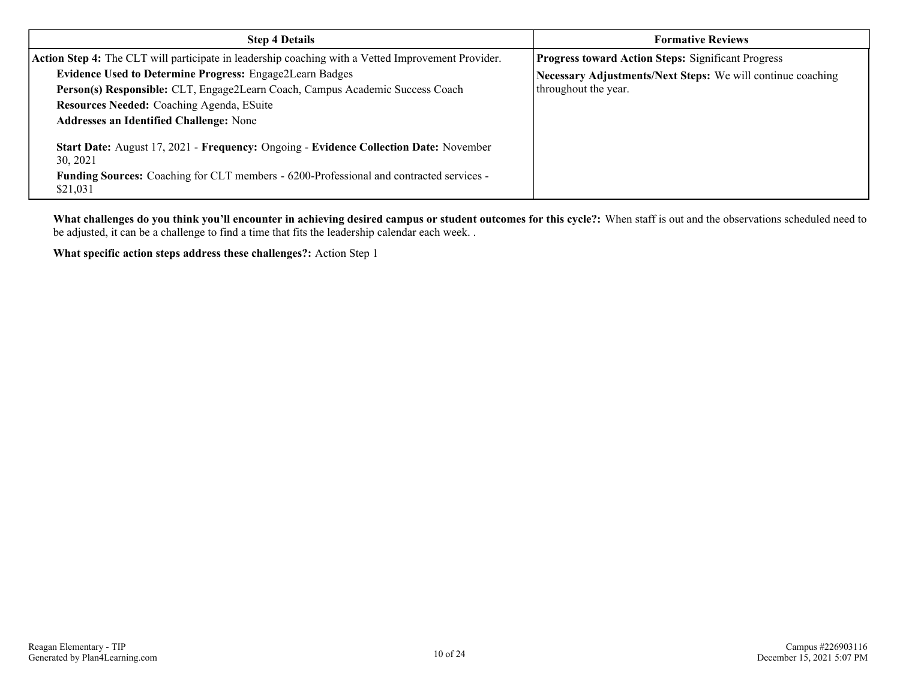| <b>Step 4 Details</b>                                                                               | <b>Formative Reviews</b>                                    |  |  |  |  |
|-----------------------------------------------------------------------------------------------------|-------------------------------------------------------------|--|--|--|--|
| Action Step 4: The CLT will participate in leadership coaching with a Vetted Improvement Provider.  | <b>Progress toward Action Steps: Significant Progress</b>   |  |  |  |  |
| <b>Evidence Used to Determine Progress: Engage2Learn Badges</b>                                     | Necessary Adjustments/Next Steps: We will continue coaching |  |  |  |  |
| Person(s) Responsible: CLT, Engage2Learn Coach, Campus Academic Success Coach                       | throughout the year.                                        |  |  |  |  |
| Resources Needed: Coaching Agenda, ESuite                                                           |                                                             |  |  |  |  |
| <b>Addresses an Identified Challenge: None</b>                                                      |                                                             |  |  |  |  |
| Start Date: August 17, 2021 - Frequency: Ongoing - Evidence Collection Date: November<br>30, 2021   |                                                             |  |  |  |  |
| Funding Sources: Coaching for CLT members - 6200-Professional and contracted services -<br>\$21,031 |                                                             |  |  |  |  |

**What challenges do you think you'll encounter in achieving desired campus or student outcomes for this cycle?:** When staff is out and the observations scheduled need to be adjusted, it can be a challenge to find a time that fits the leadership calendar each week. .

**What specific action steps address these challenges?:** Action Step 1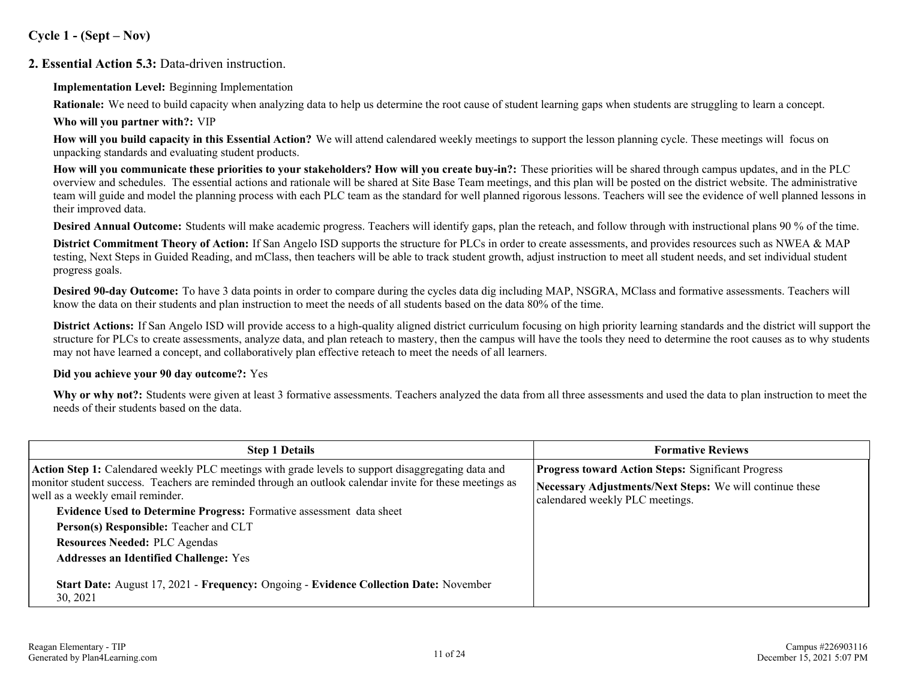**Cycle 1 - (Sept – Nov)**

### **2. Essential Action 5.3:** Data-driven instruction.

**Implementation Level:** Beginning Implementation

**Rationale:** We need to build capacity when analyzing data to help us determine the root cause of student learning gaps when students are struggling to learn a concept. **Who will you partner with?:** VIP

**How will you build capacity in this Essential Action?** We will attend calendared weekly meetings to support the lesson planning cycle. These meetings will focus on unpacking standards and evaluating student products.

**How will you communicate these priorities to your stakeholders? How will you create buy-in?:** These priorities will be shared through campus updates, and in the PLC overview and schedules. The essential actions and rationale will be shared at Site Base Team meetings, and this plan will be posted on the district website. The administrative team will guide and model the planning process with each PLC team as the standard for well planned rigorous lessons. Teachers will see the evidence of well planned lessons in their improved data.

**Desired Annual Outcome:** Students will make academic progress. Teachers will identify gaps, plan the reteach, and follow through with instructional plans 90 % of the time.

**District Commitment Theory of Action:** If San Angelo ISD supports the structure for PLCs in order to create assessments, and provides resources such as NWEA & MAP testing, Next Steps in Guided Reading, and mClass, then teachers will be able to track student growth, adjust instruction to meet all student needs, and set individual student progress goals.

**Desired 90-day Outcome:** To have 3 data points in order to compare during the cycles data dig including MAP, NSGRA, MClass and formative assessments. Teachers will know the data on their students and plan instruction to meet the needs of all students based on the data 80% of the time.

**District Actions:** If San Angelo ISD will provide access to a high-quality aligned district curriculum focusing on high priority learning standards and the district will support the structure for PLCs to create assessments, analyze data, and plan reteach to mastery, then the campus will have the tools they need to determine the root causes as to why students may not have learned a concept, and collaboratively plan effective reteach to meet the needs of all learners.

### **Did you achieve your 90 day outcome?:** Yes

Why or why not?: Students were given at least 3 formative assessments. Teachers analyzed the data from all three assessments and used the data to plan instruction to meet the needs of their students based on the data.

| <b>Step 1 Details</b>                                                                                                                                                                                                                                                                                                                                                                                                                                                      | <b>Formative Reviews</b>                                                                                                                                 |  |  |  |  |
|----------------------------------------------------------------------------------------------------------------------------------------------------------------------------------------------------------------------------------------------------------------------------------------------------------------------------------------------------------------------------------------------------------------------------------------------------------------------------|----------------------------------------------------------------------------------------------------------------------------------------------------------|--|--|--|--|
| <b>Action Step 1:</b> Calendared weekly PLC meetings with grade levels to support disaggregating data and<br>monitor student success. Teachers are reminded through an outlook calendar invite for these meetings as<br>well as a weekly email reminder.<br><b>Evidence Used to Determine Progress:</b> Formative assessment data sheet<br>Person(s) Responsible: Teacher and CLT<br><b>Resources Needed: PLC Agendas</b><br><b>Addresses an Identified Challenge: Yes</b> | <b>Progress toward Action Steps: Significant Progress</b><br>Necessary Adjustments/Next Steps: We will continue these<br>calendared weekly PLC meetings. |  |  |  |  |
| <b>Start Date:</b> August 17, 2021 - Frequency: Ongoing - Evidence Collection Date: November<br>30, 2021                                                                                                                                                                                                                                                                                                                                                                   |                                                                                                                                                          |  |  |  |  |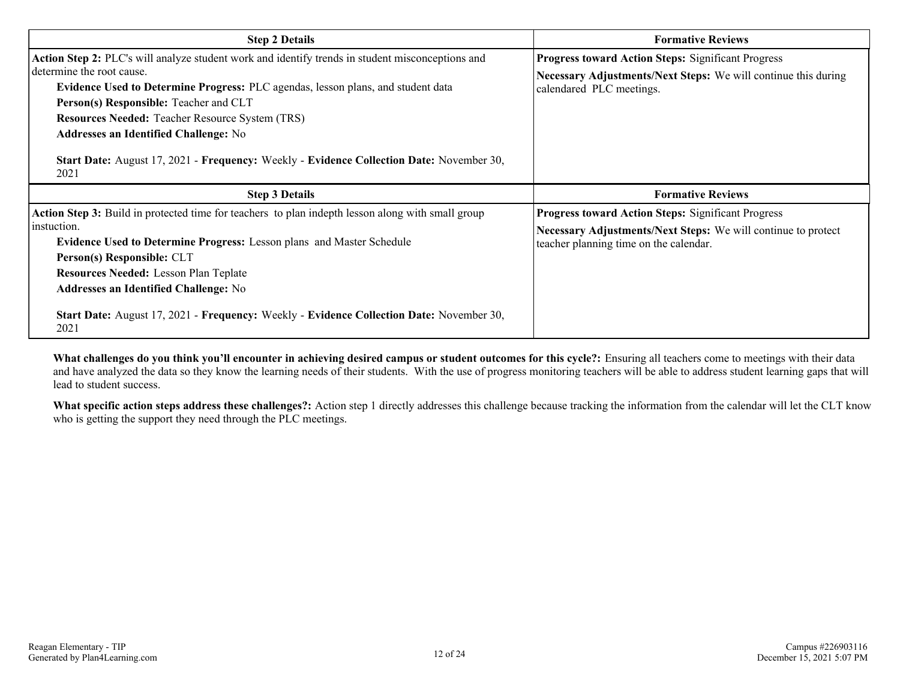| <b>Step 2 Details</b>                                                                                                                                                                                                                                                                                                                                                                                                                                                            | <b>Formative Reviews</b>                                                                                                                                             |  |  |  |  |
|----------------------------------------------------------------------------------------------------------------------------------------------------------------------------------------------------------------------------------------------------------------------------------------------------------------------------------------------------------------------------------------------------------------------------------------------------------------------------------|----------------------------------------------------------------------------------------------------------------------------------------------------------------------|--|--|--|--|
| Action Step 2: PLC's will analyze student work and identify trends in student misconceptions and<br>determine the root cause.<br><b>Evidence Used to Determine Progress: PLC agendas, lesson plans, and student data</b><br>Person(s) Responsible: Teacher and CLT<br><b>Resources Needed: Teacher Resource System (TRS)</b><br><b>Addresses an Identified Challenge: No</b><br>Start Date: August 17, 2021 - Frequency: Weekly - Evidence Collection Date: November 30,<br>2021 | <b>Progress toward Action Steps: Significant Progress</b><br>Necessary Adjustments/Next Steps: We will continue this during<br>calendared PLC meetings.              |  |  |  |  |
| <b>Step 3 Details</b>                                                                                                                                                                                                                                                                                                                                                                                                                                                            | <b>Formative Reviews</b>                                                                                                                                             |  |  |  |  |
| Action Step 3: Build in protected time for teachers to plan indepth lesson along with small group<br>instuction.<br><b>Evidence Used to Determine Progress: Lesson plans and Master Schedule</b><br>Person(s) Responsible: CLT<br><b>Resources Needed: Lesson Plan Teplate</b><br><b>Addresses an Identified Challenge: No</b><br><b>Start Date:</b> August 17, 2021 - Frequency: Weekly - Evidence Collection Date: November 30,<br>2021                                        | <b>Progress toward Action Steps: Significant Progress</b><br>Necessary Adjustments/Next Steps: We will continue to protect<br>teacher planning time on the calendar. |  |  |  |  |

**What challenges do you think you'll encounter in achieving desired campus or student outcomes for this cycle?:** Ensuring all teachers come to meetings with their data and have analyzed the data so they know the learning needs of their students. With the use of progress monitoring teachers will be able to address student learning gaps that will lead to student success.

**What specific action steps address these challenges?:** Action step 1 directly addresses this challenge because tracking the information from the calendar will let the CLT know who is getting the support they need through the PLC meetings.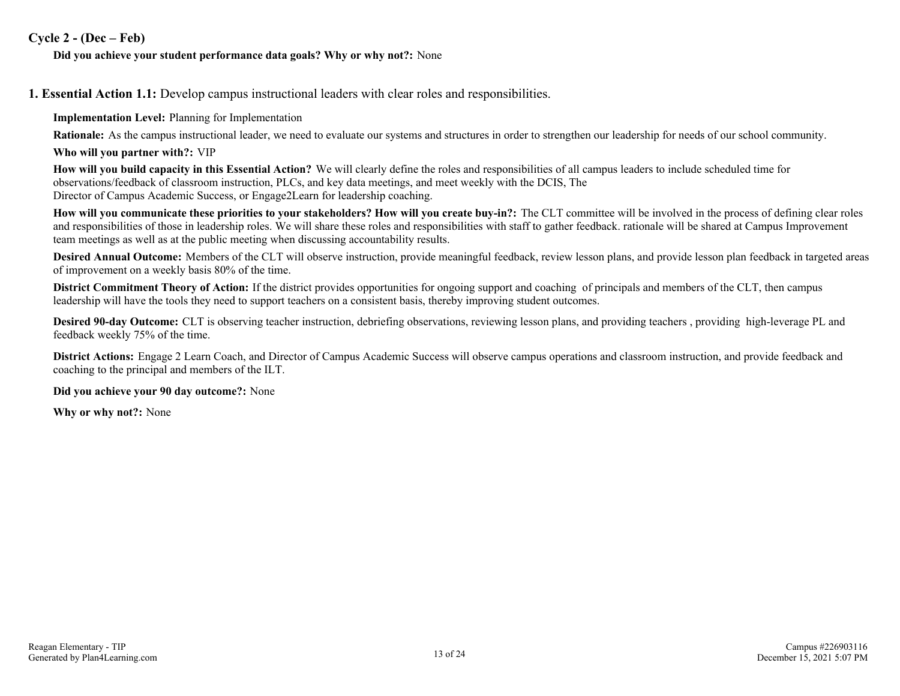### **Cycle 2 - (Dec – Feb)**

#### **Did you achieve your student performance data goals? Why or why not?:** None

**1. Essential Action 1.1:** Develop campus instructional leaders with clear roles and responsibilities.

**Implementation Level:** Planning for Implementation

**Rationale:** As the campus instructional leader, we need to evaluate our systems and structures in order to strengthen our leadership for needs of our school community.

**Who will you partner with?:** VIP

**How will you build capacity in this Essential Action?** We will clearly define the roles and responsibilities of all campus leaders to include scheduled time for observations/feedback of classroom instruction, PLCs, and key data meetings, and meet weekly with the DCIS, The Director of Campus Academic Success, or Engage2Learn for leadership coaching.

**How will you communicate these priorities to your stakeholders? How will you create buy-in?:** The CLT committee will be involved in the process of defining clear roles and responsibilities of those in leadership roles. We will share these roles and responsibilities with staff to gather feedback. rationale will be shared at Campus Improvement team meetings as well as at the public meeting when discussing accountability results.

**Desired Annual Outcome:** Members of the CLT will observe instruction, provide meaningful feedback, review lesson plans, and provide lesson plan feedback in targeted areas of improvement on a weekly basis 80% of the time.

**District Commitment Theory of Action:** If the district provides opportunities for ongoing support and coaching of principals and members of the CLT, then campus leadership will have the tools they need to support teachers on a consistent basis, thereby improving student outcomes.

**Desired 90-day Outcome:** CLT is observing teacher instruction, debriefing observations, reviewing lesson plans, and providing teachers, providing high-leverage PL and feedback weekly 75% of the time.

**District Actions:** Engage 2 Learn Coach, and Director of Campus Academic Success will observe campus operations and classroom instruction, and provide feedback and coaching to the principal and members of the ILT.

**Did you achieve your 90 day outcome?:** None

**Why or why not?:** None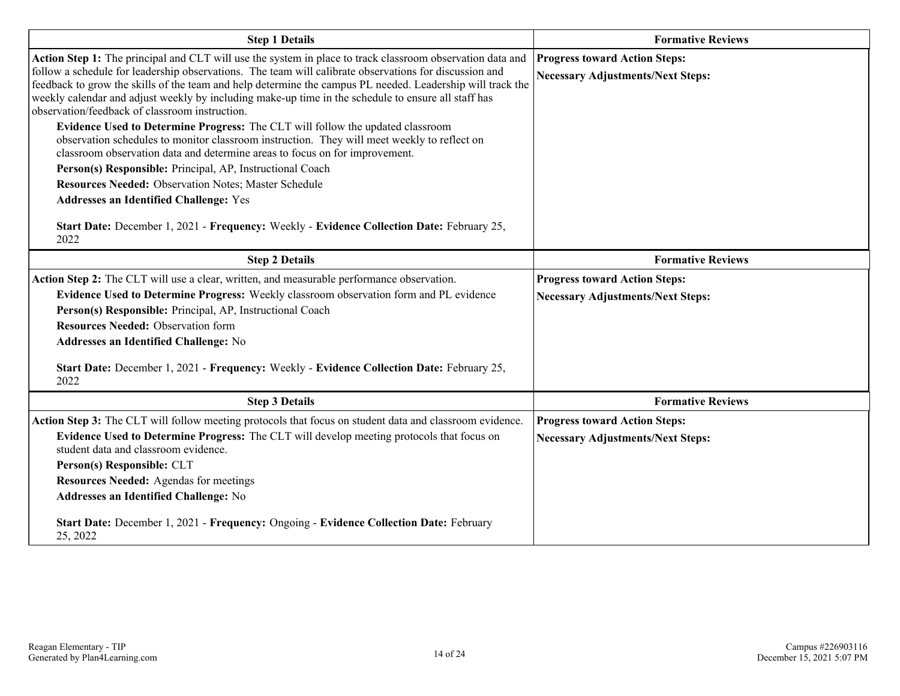| <b>Step 1 Details</b>                                                                                                                                                                                                                                                                                                                                                                                                                                                                                                                                                                                                                                                                                                                                                                                                                                                                                                                                                                                                                        | <b>Formative Reviews</b>                                                         |
|----------------------------------------------------------------------------------------------------------------------------------------------------------------------------------------------------------------------------------------------------------------------------------------------------------------------------------------------------------------------------------------------------------------------------------------------------------------------------------------------------------------------------------------------------------------------------------------------------------------------------------------------------------------------------------------------------------------------------------------------------------------------------------------------------------------------------------------------------------------------------------------------------------------------------------------------------------------------------------------------------------------------------------------------|----------------------------------------------------------------------------------|
| Action Step 1: The principal and CLT will use the system in place to track classroom observation data and<br>follow a schedule for leadership observations. The team will calibrate observations for discussion and<br>feedback to grow the skills of the team and help determine the campus PL needed. Leadership will track the<br>weekly calendar and adjust weekly by including make-up time in the schedule to ensure all staff has<br>observation/feedback of classroom instruction.<br>Evidence Used to Determine Progress: The CLT will follow the updated classroom<br>observation schedules to monitor classroom instruction. They will meet weekly to reflect on<br>classroom observation data and determine areas to focus on for improvement.<br>Person(s) Responsible: Principal, AP, Instructional Coach<br><b>Resources Needed: Observation Notes; Master Schedule</b><br><b>Addresses an Identified Challenge: Yes</b><br>Start Date: December 1, 2021 - Frequency: Weekly - Evidence Collection Date: February 25,<br>2022 | <b>Progress toward Action Steps:</b><br><b>Necessary Adjustments/Next Steps:</b> |
| <b>Step 2 Details</b>                                                                                                                                                                                                                                                                                                                                                                                                                                                                                                                                                                                                                                                                                                                                                                                                                                                                                                                                                                                                                        | <b>Formative Reviews</b>                                                         |
| Action Step 2: The CLT will use a clear, written, and measurable performance observation.<br>Evidence Used to Determine Progress: Weekly classroom observation form and PL evidence<br>Person(s) Responsible: Principal, AP, Instructional Coach<br><b>Resources Needed: Observation form</b><br>Addresses an Identified Challenge: No<br>Start Date: December 1, 2021 - Frequency: Weekly - Evidence Collection Date: February 25,<br>2022                                                                                                                                                                                                                                                                                                                                                                                                                                                                                                                                                                                                  | <b>Progress toward Action Steps:</b><br><b>Necessary Adjustments/Next Steps:</b> |
| <b>Step 3 Details</b>                                                                                                                                                                                                                                                                                                                                                                                                                                                                                                                                                                                                                                                                                                                                                                                                                                                                                                                                                                                                                        | <b>Formative Reviews</b>                                                         |
| Action Step 3: The CLT will follow meeting protocols that focus on student data and classroom evidence.<br>Evidence Used to Determine Progress: The CLT will develop meeting protocols that focus on<br>student data and classroom evidence.<br>Person(s) Responsible: CLT<br><b>Resources Needed: Agendas for meetings</b><br><b>Addresses an Identified Challenge: No</b>                                                                                                                                                                                                                                                                                                                                                                                                                                                                                                                                                                                                                                                                  | <b>Progress toward Action Steps:</b><br><b>Necessary Adjustments/Next Steps:</b> |
| Start Date: December 1, 2021 - Frequency: Ongoing - Evidence Collection Date: February<br>25, 2022                                                                                                                                                                                                                                                                                                                                                                                                                                                                                                                                                                                                                                                                                                                                                                                                                                                                                                                                           |                                                                                  |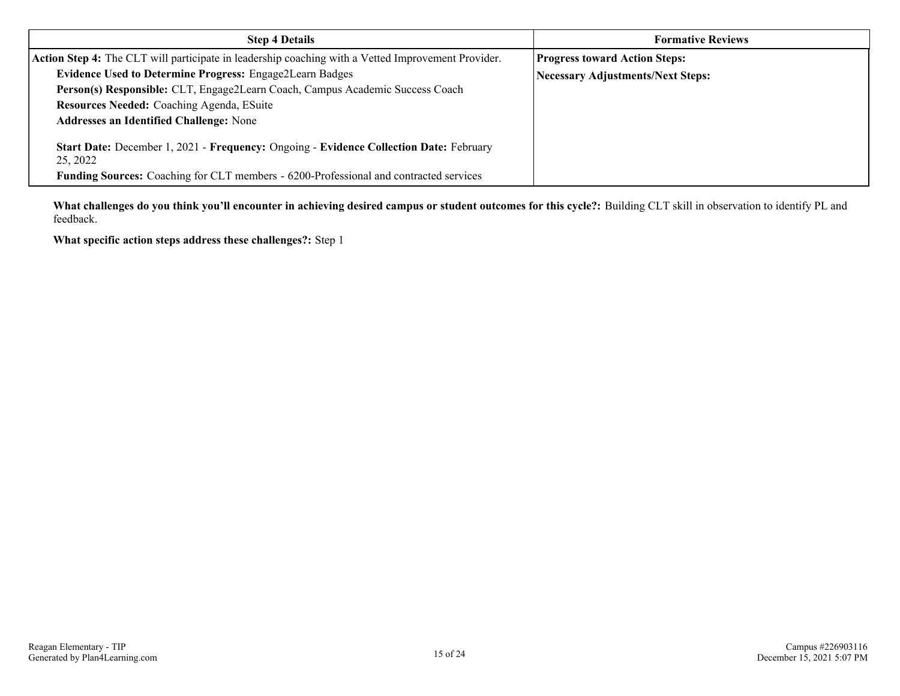| <b>Step 4 Details</b>                                                                              | <b>Formative Reviews</b>                 |  |  |  |  |
|----------------------------------------------------------------------------------------------------|------------------------------------------|--|--|--|--|
| Action Step 4: The CLT will participate in leadership coaching with a Vetted Improvement Provider. | <b>Progress toward Action Steps:</b>     |  |  |  |  |
| <b>Evidence Used to Determine Progress: Engage2Learn Badges</b>                                    | <b>Necessary Adjustments/Next Steps:</b> |  |  |  |  |
| Person(s) Responsible: CLT, Engage2Learn Coach, Campus Academic Success Coach                      |                                          |  |  |  |  |
| Resources Needed: Coaching Agenda, ESuite                                                          |                                          |  |  |  |  |
| <b>Addresses an Identified Challenge: None</b>                                                     |                                          |  |  |  |  |
| Start Date: December 1, 2021 - Frequency: Ongoing - Evidence Collection Date: February<br>25, 2022 |                                          |  |  |  |  |
| <b>Funding Sources:</b> Coaching for CLT members - 6200-Professional and contracted services       |                                          |  |  |  |  |

**What challenges do you think you'll encounter in achieving desired campus or student outcomes for this cycle?:** Building CLT skill in observation to identify PL and feedback.

**What specific action steps address these challenges?:** Step 1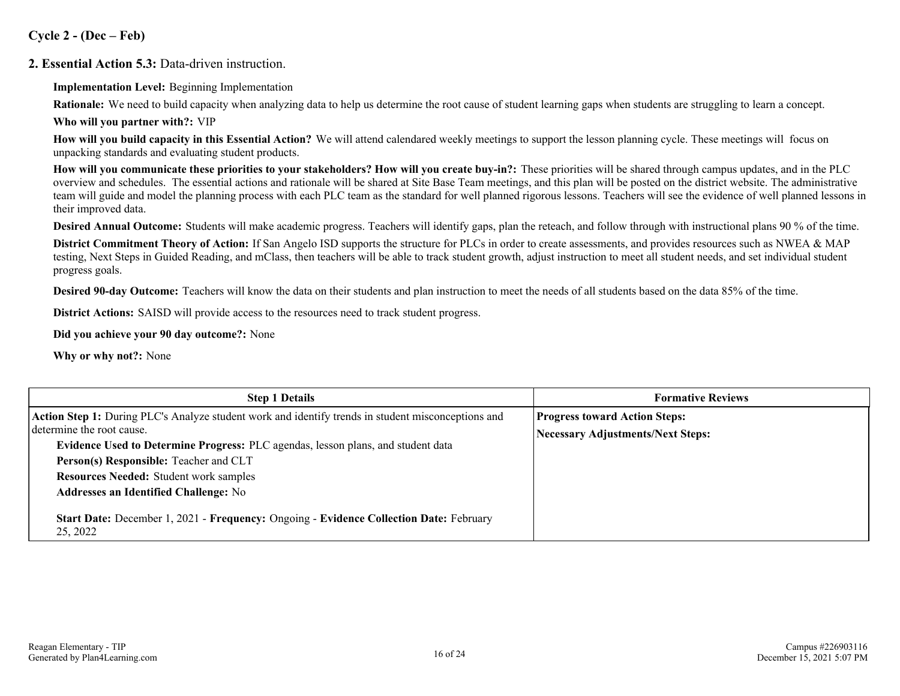**Cycle 2 - (Dec – Feb)**

**2. Essential Action 5.3:** Data-driven instruction.

**Implementation Level:** Beginning Implementation

**Rationale:** We need to build capacity when analyzing data to help us determine the root cause of student learning gaps when students are struggling to learn a concept. **Who will you partner with?:** VIP

**How will you build capacity in this Essential Action?** We will attend calendared weekly meetings to support the lesson planning cycle. These meetings will focus on unpacking standards and evaluating student products.

**How will you communicate these priorities to your stakeholders? How will you create buy-in?:** These priorities will be shared through campus updates, and in the PLC overview and schedules. The essential actions and rationale will be shared at Site Base Team meetings, and this plan will be posted on the district website. The administrative team will guide and model the planning process with each PLC team as the standard for well planned rigorous lessons. Teachers will see the evidence of well planned lessons in their improved data.

**Desired Annual Outcome:** Students will make academic progress. Teachers will identify gaps, plan the reteach, and follow through with instructional plans 90 % of the time.

**District Commitment Theory of Action:** If San Angelo ISD supports the structure for PLCs in order to create assessments, and provides resources such as NWEA & MAP testing, Next Steps in Guided Reading, and mClass, then teachers will be able to track student growth, adjust instruction to meet all student needs, and set individual student progress goals.

**Desired 90-day Outcome:** Teachers will know the data on their students and plan instruction to meet the needs of all students based on the data 85% of the time.

**District Actions:** SAISD will provide access to the resources need to track student progress.

**Did you achieve your 90 day outcome?:** None

**Why or why not?:** None

| <b>Step 1 Details</b>                                                                                                           | <b>Formative Reviews</b>                 |
|---------------------------------------------------------------------------------------------------------------------------------|------------------------------------------|
| Action Step 1: During PLC's Analyze student work and identify trends in student misconceptions and<br>determine the root cause. | <b>Progress toward Action Steps:</b>     |
| Evidence Used to Determine Progress: PLC agendas, lesson plans, and student data                                                | <b>Necessary Adjustments/Next Steps:</b> |
| Person(s) Responsible: Teacher and CLT                                                                                          |                                          |
| <b>Resources Needed: Student work samples</b>                                                                                   |                                          |
| <b>Addresses an Identified Challenge: No</b>                                                                                    |                                          |
| Start Date: December 1, 2021 - Frequency: Ongoing - Evidence Collection Date: February<br>25, 2022                              |                                          |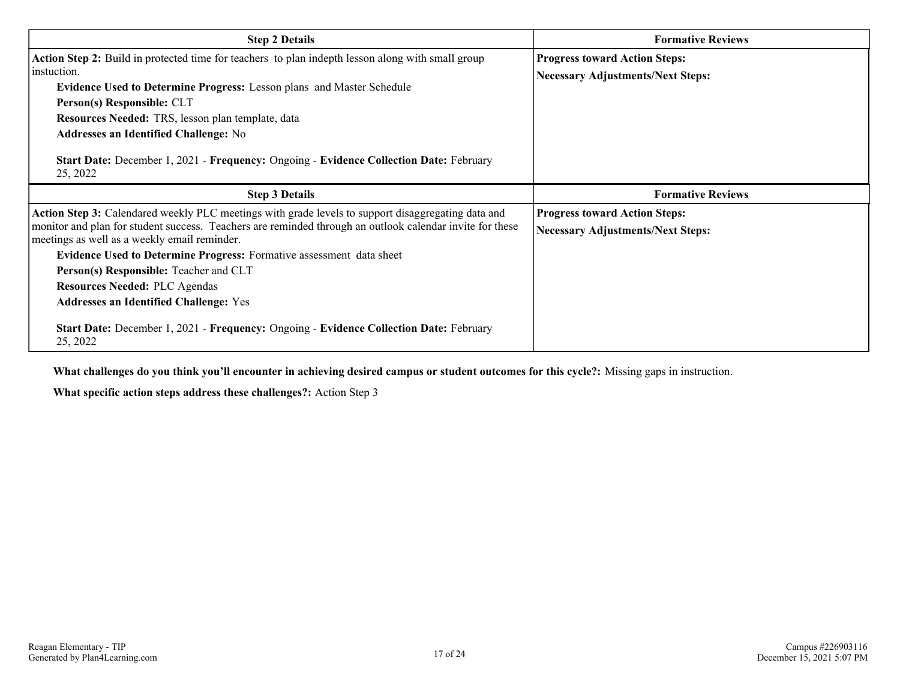| <b>Step 2 Details</b>                                                                                                                                                                                                                                                                                                                                                                                                                                                     | <b>Formative Reviews</b>                                                         |  |  |  |  |
|---------------------------------------------------------------------------------------------------------------------------------------------------------------------------------------------------------------------------------------------------------------------------------------------------------------------------------------------------------------------------------------------------------------------------------------------------------------------------|----------------------------------------------------------------------------------|--|--|--|--|
| Action Step 2: Build in protected time for teachers to plan indepth lesson along with small group<br>instuction.<br>Evidence Used to Determine Progress: Lesson plans and Master Schedule<br>Person(s) Responsible: CLT<br>Resources Needed: TRS, lesson plan template, data<br><b>Addresses an Identified Challenge: No</b><br>Start Date: December 1, 2021 - Frequency: Ongoing - Evidence Collection Date: February<br>25, 2022                                        | <b>Progress toward Action Steps:</b><br><b>Necessary Adjustments/Next Steps:</b> |  |  |  |  |
| <b>Step 3 Details</b>                                                                                                                                                                                                                                                                                                                                                                                                                                                     | <b>Formative Reviews</b>                                                         |  |  |  |  |
| Action Step 3: Calendared weekly PLC meetings with grade levels to support disaggregating data and<br>monitor and plan for student success. Teachers are reminded through an outlook calendar invite for these<br>meetings as well as a weekly email reminder.<br>Evidence Used to Determine Progress: Formative assessment data sheet<br>Person(s) Responsible: Teacher and CLT<br><b>Resources Needed: PLC Agendas</b><br><b>Addresses an Identified Challenge: Yes</b> | <b>Progress toward Action Steps:</b><br><b>Necessary Adjustments/Next Steps:</b> |  |  |  |  |
| Start Date: December 1, 2021 - Frequency: Ongoing - Evidence Collection Date: February<br>25, 2022                                                                                                                                                                                                                                                                                                                                                                        |                                                                                  |  |  |  |  |

**What challenges do you think you'll encounter in achieving desired campus or student outcomes for this cycle?:** Missing gaps in instruction.

**What specific action steps address these challenges?:** Action Step 3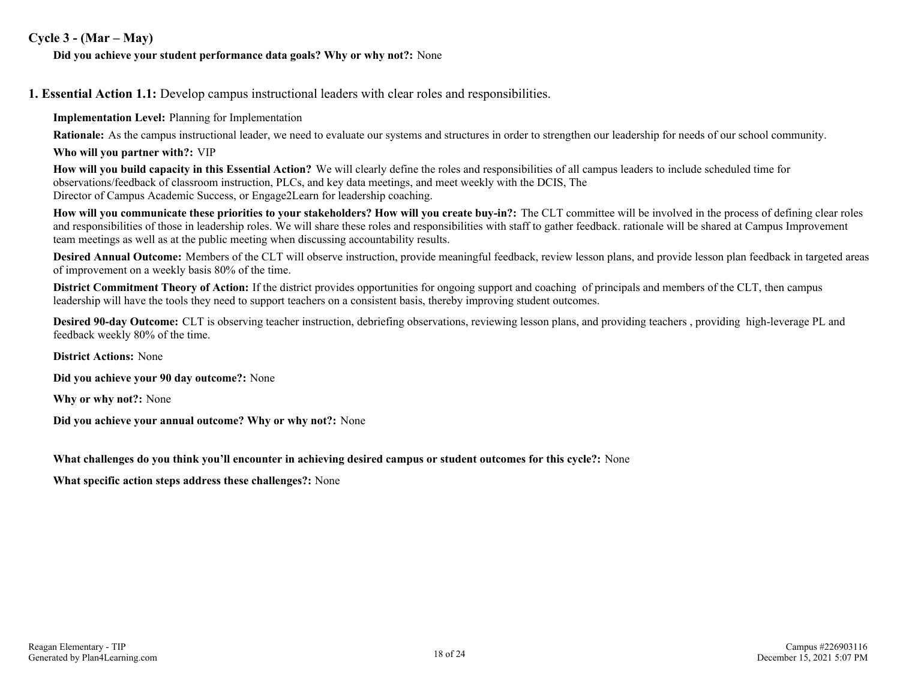### **Cycle 3 - (Mar – May)**

#### **Did you achieve your student performance data goals? Why or why not?:** None

**1. Essential Action 1.1:** Develop campus instructional leaders with clear roles and responsibilities.

**Implementation Level:** Planning for Implementation

**Rationale:** As the campus instructional leader, we need to evaluate our systems and structures in order to strengthen our leadership for needs of our school community.

**Who will you partner with?:** VIP

**How will you build capacity in this Essential Action?** We will clearly define the roles and responsibilities of all campus leaders to include scheduled time for observations/feedback of classroom instruction, PLCs, and key data meetings, and meet weekly with the DCIS, The Director of Campus Academic Success, or Engage2Learn for leadership coaching.

**How will you communicate these priorities to your stakeholders? How will you create buy-in?:** The CLT committee will be involved in the process of defining clear roles and responsibilities of those in leadership roles. We will share these roles and responsibilities with staff to gather feedback. rationale will be shared at Campus Improvement team meetings as well as at the public meeting when discussing accountability results.

**Desired Annual Outcome:** Members of the CLT will observe instruction, provide meaningful feedback, review lesson plans, and provide lesson plan feedback in targeted areas of improvement on a weekly basis 80% of the time.

**District Commitment Theory of Action:** If the district provides opportunities for ongoing support and coaching of principals and members of the CLT, then campus leadership will have the tools they need to support teachers on a consistent basis, thereby improving student outcomes.

**Desired 90-day Outcome:** CLT is observing teacher instruction, debriefing observations, reviewing lesson plans, and providing teachers, providing high-leverage PL and feedback weekly 80% of the time.

**District Actions:** None

**Did you achieve your 90 day outcome?:** None

**Why or why not?:** None

**Did you achieve your annual outcome? Why or why not?:** None

**What challenges do you think you'll encounter in achieving desired campus or student outcomes for this cycle?:** None

**What specific action steps address these challenges?:** None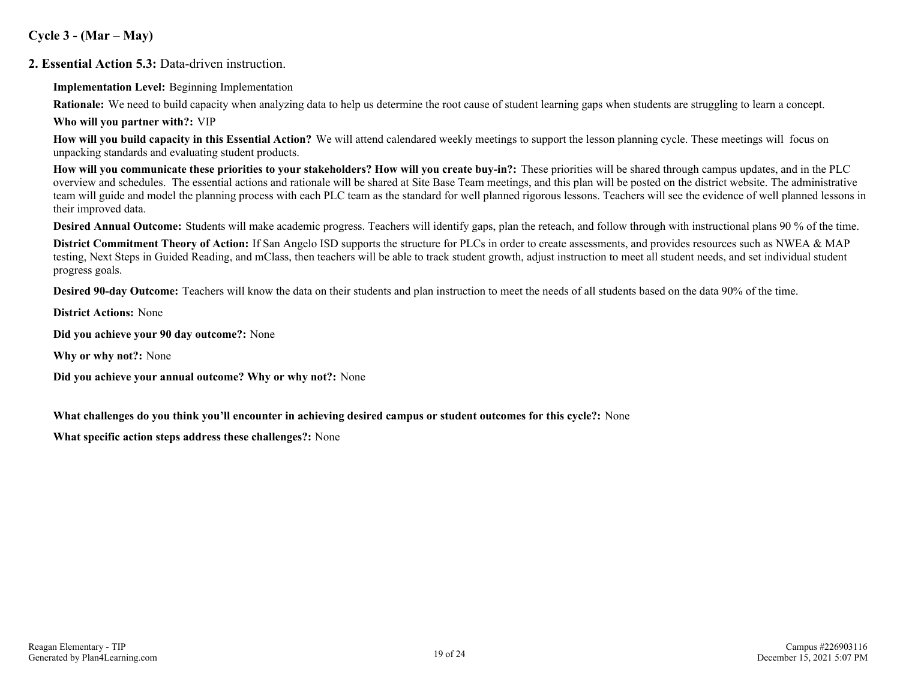### **Cycle 3 - (Mar – May)**

**2. Essential Action 5.3:** Data-driven instruction.

**Implementation Level:** Beginning Implementation

**Rationale:** We need to build capacity when analyzing data to help us determine the root cause of student learning gaps when students are struggling to learn a concept. **Who will you partner with?:** VIP

**How will you build capacity in this Essential Action?** We will attend calendared weekly meetings to support the lesson planning cycle. These meetings will focus on unpacking standards and evaluating student products.

**How will you communicate these priorities to your stakeholders? How will you create buy-in?:** These priorities will be shared through campus updates, and in the PLC overview and schedules. The essential actions and rationale will be shared at Site Base Team meetings, and this plan will be posted on the district website. The administrative team will guide and model the planning process with each PLC team as the standard for well planned rigorous lessons. Teachers will see the evidence of well planned lessons in their improved data.

**Desired Annual Outcome:** Students will make academic progress. Teachers will identify gaps, plan the reteach, and follow through with instructional plans 90 % of the time.

**District Commitment Theory of Action:** If San Angelo ISD supports the structure for PLCs in order to create assessments, and provides resources such as NWEA & MAP testing, Next Steps in Guided Reading, and mClass, then teachers will be able to track student growth, adjust instruction to meet all student needs, and set individual student progress goals.

**Desired 90-day Outcome:** Teachers will know the data on their students and plan instruction to meet the needs of all students based on the data 90% of the time.

**District Actions:** None

**Did you achieve your 90 day outcome?:** None

**Why or why not?:** None

**Did you achieve your annual outcome? Why or why not?:** None

**What challenges do you think you'll encounter in achieving desired campus or student outcomes for this cycle?:** None

**What specific action steps address these challenges?:** None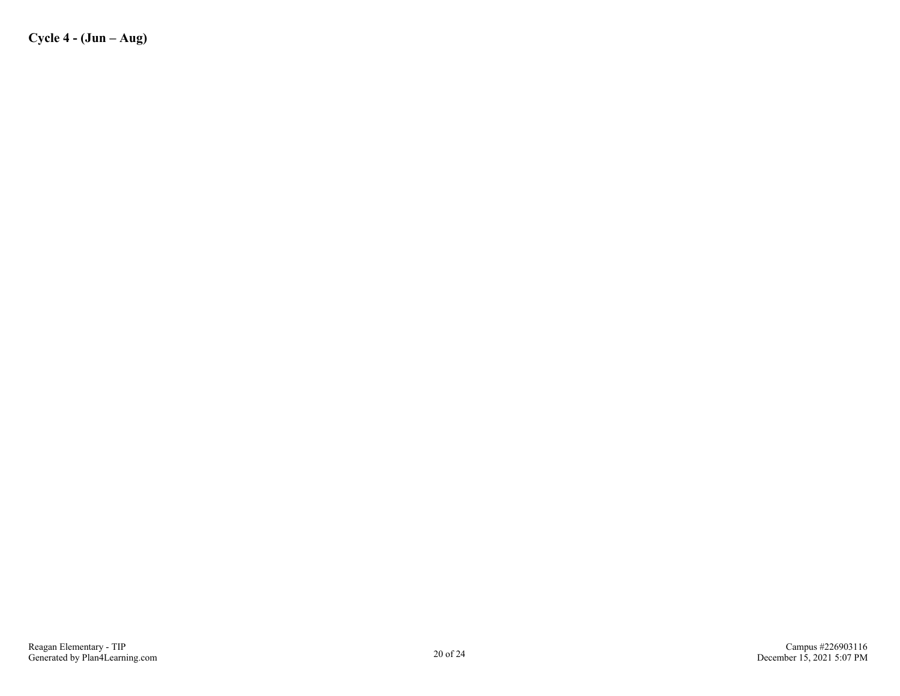**Cycle 4 - (Jun – Aug)**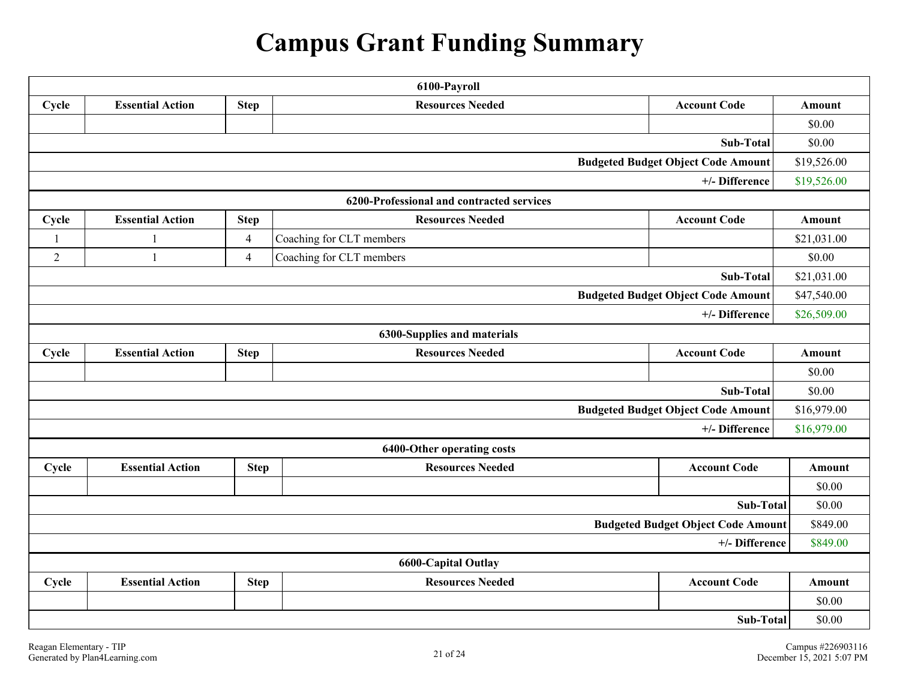## **Campus Grant Funding Summary**

| 6100-Payroll                                             |                                                                                          |                |                                           |                                           |               |  |  |  |  |
|----------------------------------------------------------|------------------------------------------------------------------------------------------|----------------|-------------------------------------------|-------------------------------------------|---------------|--|--|--|--|
| Cycle                                                    | <b>Account Code</b><br><b>Essential Action</b><br><b>Step</b><br><b>Resources Needed</b> |                |                                           |                                           |               |  |  |  |  |
|                                                          |                                                                                          |                |                                           |                                           | \$0.00        |  |  |  |  |
|                                                          |                                                                                          |                |                                           | Sub-Total                                 | \$0.00        |  |  |  |  |
| <b>Budgeted Budget Object Code Amount</b><br>\$19,526.00 |                                                                                          |                |                                           |                                           |               |  |  |  |  |
| \$19,526.00<br>+/- Difference                            |                                                                                          |                |                                           |                                           |               |  |  |  |  |
|                                                          |                                                                                          |                | 6200-Professional and contracted services |                                           |               |  |  |  |  |
| Cycle                                                    | <b>Essential Action</b>                                                                  | <b>Step</b>    | <b>Resources Needed</b>                   | <b>Account Code</b>                       | Amount        |  |  |  |  |
| $\mathbf{1}$                                             | $\mathbf{1}$                                                                             | $\overline{4}$ | Coaching for CLT members                  |                                           | \$21,031.00   |  |  |  |  |
| $\overline{2}$                                           | 1                                                                                        | $\overline{4}$ | Coaching for CLT members                  |                                           | \$0.00        |  |  |  |  |
|                                                          |                                                                                          |                |                                           | Sub-Total                                 | \$21,031.00   |  |  |  |  |
|                                                          |                                                                                          |                |                                           | <b>Budgeted Budget Object Code Amount</b> | \$47,540.00   |  |  |  |  |
|                                                          |                                                                                          |                |                                           | +/- Difference                            | \$26,509.00   |  |  |  |  |
|                                                          |                                                                                          |                | 6300-Supplies and materials               |                                           |               |  |  |  |  |
| Cycle                                                    | <b>Essential Action</b>                                                                  | <b>Step</b>    | <b>Resources Needed</b>                   | <b>Account Code</b>                       | <b>Amount</b> |  |  |  |  |
|                                                          |                                                                                          |                |                                           |                                           | \$0.00        |  |  |  |  |
|                                                          |                                                                                          |                |                                           | <b>Sub-Total</b>                          | \$0.00        |  |  |  |  |
|                                                          |                                                                                          |                |                                           | <b>Budgeted Budget Object Code Amount</b> | \$16,979.00   |  |  |  |  |
| \$16,979.00<br>+/- Difference                            |                                                                                          |                |                                           |                                           |               |  |  |  |  |
|                                                          |                                                                                          |                | 6400-Other operating costs                |                                           |               |  |  |  |  |
| Cycle                                                    | <b>Essential Action</b>                                                                  | <b>Step</b>    | <b>Resources Needed</b>                   | <b>Account Code</b>                       | Amount        |  |  |  |  |
|                                                          |                                                                                          |                |                                           |                                           | \$0.00        |  |  |  |  |
|                                                          |                                                                                          |                |                                           | Sub-Total                                 | \$0.00        |  |  |  |  |
|                                                          |                                                                                          |                |                                           | <b>Budgeted Budget Object Code Amount</b> | \$849.00      |  |  |  |  |
|                                                          |                                                                                          |                |                                           | +/- Difference                            | \$849.00      |  |  |  |  |
|                                                          |                                                                                          |                | <b>6600-Capital Outlay</b>                |                                           |               |  |  |  |  |
| Cycle                                                    | <b>Essential Action</b>                                                                  | <b>Step</b>    | <b>Resources Needed</b>                   | <b>Account Code</b>                       | Amount        |  |  |  |  |
|                                                          |                                                                                          |                |                                           |                                           | \$0.00        |  |  |  |  |
| Sub-Total                                                |                                                                                          |                |                                           |                                           |               |  |  |  |  |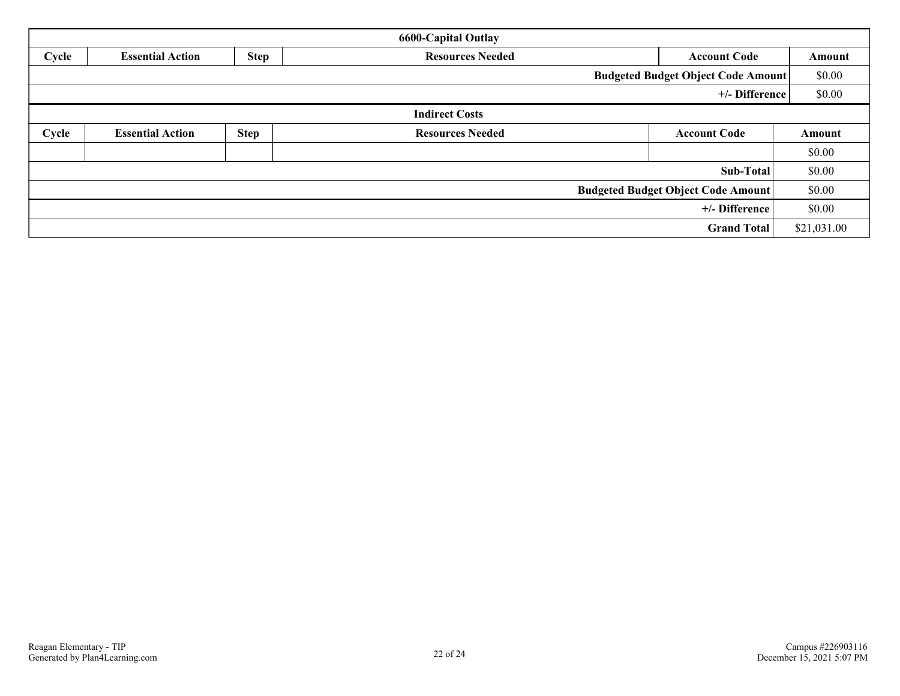| <b>6600-Capital Outlay</b> |                                                                                          |             |                         |                                           |        |  |  |  |
|----------------------------|------------------------------------------------------------------------------------------|-------------|-------------------------|-------------------------------------------|--------|--|--|--|
| Cycle                      | <b>Step</b><br><b>Resources Needed</b><br><b>Essential Action</b><br><b>Account Code</b> |             |                         |                                           |        |  |  |  |
|                            |                                                                                          |             |                         | <b>Budgeted Budget Object Code Amount</b> | \$0.00 |  |  |  |
|                            |                                                                                          |             |                         | +/- Difference                            | \$0.00 |  |  |  |
|                            |                                                                                          |             | <b>Indirect Costs</b>   |                                           |        |  |  |  |
| Cycle                      | <b>Essential Action</b>                                                                  | <b>Step</b> | <b>Resources Needed</b> | <b>Account Code</b>                       | Amount |  |  |  |
|                            |                                                                                          |             |                         |                                           | \$0.00 |  |  |  |
|                            |                                                                                          |             |                         | Sub-Total                                 | \$0.00 |  |  |  |
|                            |                                                                                          |             |                         | <b>Budgeted Budget Object Code Amount</b> | \$0.00 |  |  |  |
| +/- Difference             |                                                                                          |             |                         |                                           |        |  |  |  |
| <b>Grand Total</b>         |                                                                                          |             |                         |                                           |        |  |  |  |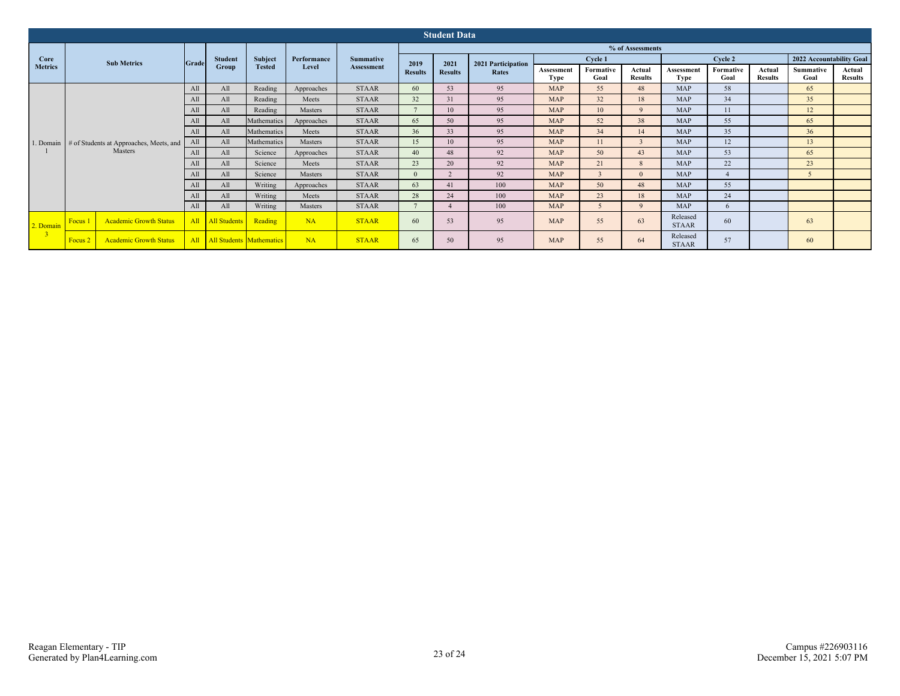| <b>Student Data</b> |         |                                                   |       |                                 |             |                   |                  |                |       |                    |                   |                          |                    |                          |                          |                   |                          |  |
|---------------------|---------|---------------------------------------------------|-------|---------------------------------|-------------|-------------------|------------------|----------------|-------|--------------------|-------------------|--------------------------|--------------------|--------------------------|--------------------------|-------------------|--------------------------|--|
|                     |         |                                                   |       |                                 |             |                   | % of Assessments |                |       |                    |                   |                          |                    |                          |                          |                   |                          |  |
| Core                |         | <b>Sub Metrics</b>                                | Grade | <b>Student</b>                  | Subject     | Performance       | <b>Summative</b> | 2019           | 2021  | 2021 Participation |                   | Cycle 1                  |                    |                          | Cycle 2                  |                   | 2022 Accountability Goal |  |
| <b>Metrics</b>      |         |                                                   | Group | <b>Tested</b>                   | Level       | <b>Assessment</b> | <b>Results</b>   | <b>Results</b> | Rates | Assessment<br>Type | Formative<br>Goal | Actual<br><b>Results</b> | Assessment<br>Type | Formative<br>Goal        | Actual<br><b>Results</b> | Summative<br>Goal | Actual<br><b>Results</b> |  |
|                     |         |                                                   | All   | All                             | Reading     | Approaches        | <b>STAAR</b>     | 60             | 53    | 95                 | <b>MAP</b>        | 55                       | 48                 | <b>MAP</b>               | 58                       |                   | 65                       |  |
|                     |         |                                                   | All   | All                             | Reading     | Meets             | <b>STAAR</b>     | 32             | 31    | 95                 | <b>MAP</b>        | 32                       | 18                 | <b>MAP</b>               | 34                       |                   | 35                       |  |
|                     |         |                                                   | All   | All                             | Reading     | Masters           | <b>STAAR</b>     | $\mathbf{z}$   | 10    | 95                 | <b>MAP</b>        | 10                       | $\mathbf{Q}$       | <b>MAP</b>               | 11                       |                   | 12                       |  |
|                     |         |                                                   | All   | All                             | Mathematics | Approaches        | <b>STAAR</b>     | 65             | 50    | 95                 | <b>MAP</b>        | 52                       | 38                 | <b>MAP</b>               | 55                       |                   | 65                       |  |
|                     |         |                                                   | All   | All                             | Mathematics | Meets             | <b>STAAR</b>     | 36             | 33    | 95                 | <b>MAP</b>        | 34                       | 14                 | MAP                      | 35                       |                   | 36                       |  |
|                     |         | 1. Domain # of Students at Approaches, Meets, and | All   | All                             | Mathematics | Masters           | <b>STAAR</b>     | 15             | 10    | 95                 | <b>MAP</b>        | 11                       |                    | <b>MAP</b>               | 12                       |                   | 13                       |  |
|                     |         | Masters                                           | All   | All                             | Science     | Approaches        | <b>STAAR</b>     | 40             | 48    | 92                 | <b>MAP</b>        | 50                       | 43                 | <b>MAP</b>               | 53                       |                   | 65                       |  |
|                     |         |                                                   | All   | All                             | Science     | Meets             | <b>STAAR</b>     | 23             | 20    | 92                 | <b>MAP</b>        | 21                       | 8                  | <b>MAP</b>               | 22                       |                   | 23                       |  |
|                     |         |                                                   | All   | All                             | Science     | Masters           | <b>STAAR</b>     | $\Omega$       |       | 92                 | <b>MAP</b>        |                          | $\Omega$           | <b>MAP</b>               |                          |                   |                          |  |
|                     |         |                                                   | All   | All                             | Writing     | Approaches        | <b>STAAR</b>     | 63             | 41    | 100                | <b>MAP</b>        | 50                       | 48                 | <b>MAP</b>               | 55                       |                   |                          |  |
|                     |         |                                                   | All   | All                             | Writing     | Meets             | <b>STAAR</b>     | 28             | 24    | 100                | <b>MAP</b>        | 23                       | 18                 | <b>MAP</b>               | 24                       |                   |                          |  |
|                     |         |                                                   | All   | All                             | Writing     | Masters           | <b>STAAR</b>     | $\overline{ }$ |       | 100                | <b>MAP</b>        |                          | $\mathbf{Q}$       | <b>MAP</b>               | 6                        |                   |                          |  |
| 2. Domain           | Focus 1 | <b>Academic Growth Status</b>                     | All   | <b>All Students</b>             | Reading     | NA                | <b>STAAR</b>     | 60             | 53    | 95                 | <b>MAP</b>        | 55                       | 63                 | Released<br><b>STAAR</b> | 60                       |                   | 63                       |  |
|                     | Focus 2 | <b>Academic Growth Status</b>                     | All   | <b>All Students Mathematics</b> |             | NA                | <b>STAAR</b>     | 65             | 50    | 95                 | <b>MAP</b>        | 55                       | 64                 | Released<br><b>STAAR</b> | 57                       |                   | 60                       |  |